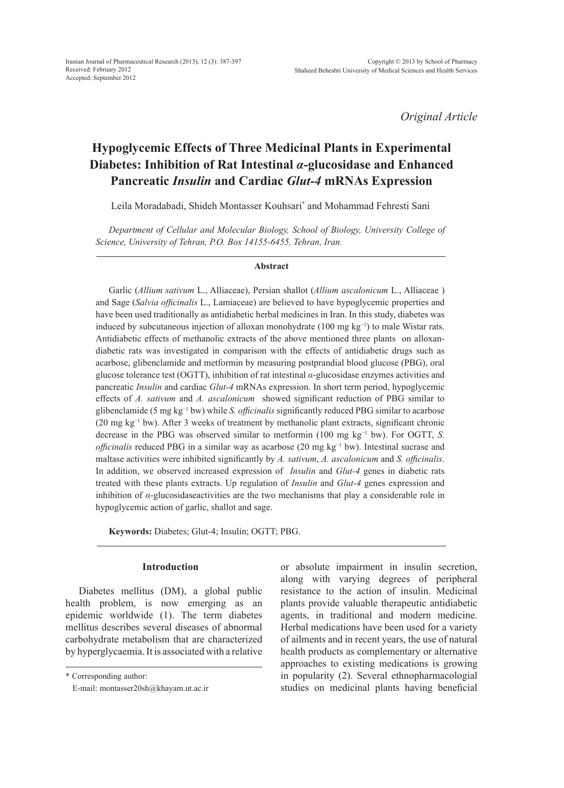*Original Article*

# **Hypoglycemic Effects of Three Medicinal Plants in Experimental Diabetes: Inhibition of Rat Intestinal** *α***-glucosidase and Enhanced Pancreatic** *Insulin* **and Cardiac** *Glut-4* **mRNAs Expression**

Leila Moradabadi, Shideh Montasser Kouhsari\* and Mohammad Fehresti Sani

*Department of Cellular and Molecular Biology, School of Biology, University College of Science, University of Tehran, P.O. Box 14155-6455, Tehran, Iran.*

#### **Abstract**

Garlic (*Allium sativum* L., Alliaceae), Persian shallot (*Allium ascalonicum* L., Alliaceae ) and Sage (*Salvia officinalis* L., Lamiaceae) are believed to have hypoglycemic properties and have been used traditionally as antidiabetic herbal medicines in Iran. In this study, diabetes was induced by subcutaneous injection of alloxan monohydrate (100 mg kg−1) to male Wistar rats. Antidiabetic effects of methanolic extracts of the above mentioned three plants on alloxandiabetic rats was investigated in comparison with the effects of antidiabetic drugs such as acarbose, glibenclamide and metformin by measuring postprandial blood glucose (PBG), oral glucose tolerance test (OGTT), inhibition of rat intestinal *α*-glucosidase enzymes activities and pancreatic *Insulin* and cardiac *Glut-4* mRNAs expression. In short term period, hypoglycemic effects of *A. sativum* and *A. ascalonicum* showed significant reduction of PBG similar to glibenclamide (5 mg kg−1 bw) while *S. officinalis* significantly reduced PBG similar to acarbose (20 mg kg−1 bw). After 3 weeks of treatment by methanolic plant extracts, significant chronic decrease in the PBG was observed similar to metformin (100 mg kg−1 bw). For OGTT, *S. officinalis* reduced PBG in a similar way as acarbose (20 mg kg<sup>-1</sup> bw). Intestinal sucrase and maltase activities were inhibited significantly by *A. sativum*, *A. ascalonicum* and *S. officinalis*. In addition, we observed increased expression of *Insulin* and *Glut-4* genes in diabetic rats treated with these plants extracts. Up regulation of *Insulin* and *Glut-4* genes expression and inhibition of  $\alpha$ -glucosidaseactivities are the two mechanisms that play a considerable role in hypoglycemic action of garlic, shallot and sage.

**Keywords:** Diabetes; Glut-4; Insulin; OGTT; PBG.

### **Introduction**

Diabetes mellitus (DM), a global public health problem, is now emerging as an epidemic worldwide (1). The term diabetes mellitus describes several diseases of abnormal carbohydrate metabolism that are characterized by hyperglycaemia. It is associated with a relative

\* Corresponding author:

E-mail: montasser20sh@khayam.ut.ac.ir

or absolute impairment in insulin secretion, along with varying degrees of peripheral resistance to the action of insulin. Medicinal plants provide valuable therapeutic antidiabetic agents, in traditional and modern medicine. Herbal medications have been used for a variety of ailments and in recent years, the use of natural health products as complementary or alternative approaches to existing medications is growing in popularity (2). Several ethnopharmacologial studies on medicinal plants having beneficial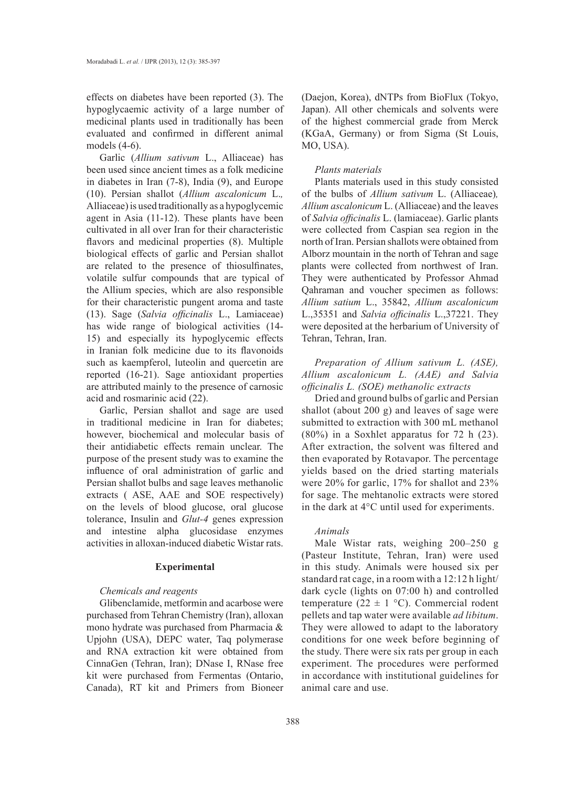effects on diabetes have been reported (3). The hypoglycaemic activity of a large number of medicinal plants used in traditionally has been evaluated and confirmed in different animal models (4-6).

Garlic (*Allium sativum* L., Alliaceae) has been used since ancient times as a folk medicine in diabetes in Iran (7-8), India (9), and Europe (10). Persian shallot (*Allium ascalonicum* L.*,*  Alliaceae) is used traditionally as a hypoglycemic agent in Asia (11-12). These plants have been cultivated in all over Iran for their characteristic flavors and medicinal properties (8). Multiple biological effects of garlic and Persian shallot are related to the presence of thiosulfinates, volatile sulfur compounds that are typical of the Allium species, which are also responsible for their characteristic pungent aroma and taste (13). Sage (*Salvia officinalis* L., Lamiaceae) has wide range of biological activities (14- 15) and especially its hypoglycemic effects in Iranian folk medicine due to its flavonoids such as kaempferol, luteolin and quercetin are reported (16-21). Sage antioxidant properties are attributed mainly to the presence of carnosic acid and rosmarinic acid (22).

Garlic, Persian shallot and sage are used in traditional medicine in Iran for diabetes; however, biochemical and molecular basis of their antidiabetic effects remain unclear. The purpose of the present study was to examine the influence of oral administration of garlic and Persian shallot bulbs and sage leaves methanolic extracts ( ASE, AAE and SOE respectively) on the levels of blood glucose, oral glucose tolerance, Insulin and *Glut-4* genes expression and intestine alpha glucosidase enzymes activities in alloxan-induced diabetic Wistar rats.

### **Experimental**

### *Chemicals and reagents*

Glibenclamide, metformin and acarbose were purchased from Tehran Chemistry (Iran), alloxan mono hydrate was purchased from Pharmacia & Upjohn (USA), DEPC water, Taq polymerase and RNA extraction kit were obtained from CinnaGen (Tehran, Iran); DNase I, RNase free kit were purchased from Fermentas (Ontario, Canada), RT kit and Primers from Bioneer

(Daejon, Korea), dNTPs from BioFlux (Tokyo, Japan). All other chemicals and solvents were of the highest commercial grade from Merck (KGaA, Germany) or from Sigma (St Louis, MO, USA).

### *Plants materials*

Plants materials used in this study consisted of the bulbs of *Allium sativum* L. (Alliaceae)*, Allium ascalonicum* L. (Alliaceae) and the leaves of *Salvia officinalis* L. (lamiaceae). Garlic plants were collected from Caspian sea region in the north of Iran. Persian shallots were obtained from Alborz mountain in the north of Tehran and sage plants were collected from northwest of Iran. They were authenticated by Professor Ahmad Qahraman and voucher specimen as follows: *Allium satium* L., 35842, *Allium ascalonicum*  L.,35351 and *Salvia officinalis* L.,37221. They were deposited at the herbarium of University of Tehran, Tehran, Iran.

# *Preparation of Allium sativum L. (ASE), Allium ascalonicum L. (AAE) and Salvia officinalis L. (SOE) methanolic extracts*

Dried and ground bulbs of garlic and Persian shallot (about 200 g) and leaves of sage were submitted to extraction with 300 mL methanol (80%) in a Soxhlet apparatus for 72 h (23). After extraction, the solvent was filtered and then evaporated by Rotavapor. The percentage yields based on the dried starting materials were 20% for garlic, 17% for shallot and 23% for sage. The mehtanolic extracts were stored in the dark at 4°C until used for experiments.

### *Animals*

Male Wistar rats, weighing 200–250 g (Pasteur Institute, Tehran, Iran) were used in this study. Animals were housed six per standard rat cage, in a room with a 12:12 h light/ dark cycle (lights on 07:00 h) and controlled temperature (22  $\pm$  1 °C). Commercial rodent pellets and tap water were available *ad libitum*. They were allowed to adapt to the laboratory conditions for one week before beginning of the study. There were six rats per group in each experiment. The procedures were performed in accordance with institutional guidelines for animal care and use.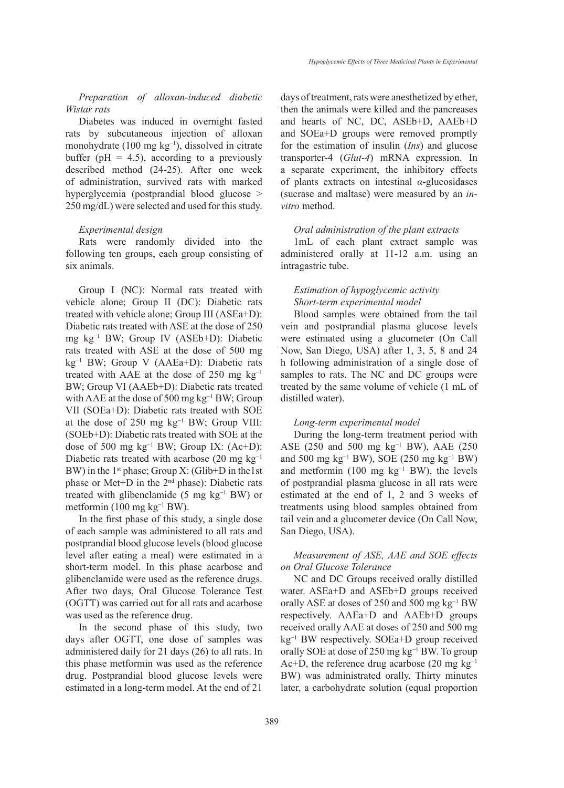*Preparation of alloxan-induced diabetic Wistar rats* 

Diabetes was induced in overnight fasted rats by subcutaneous injection of alloxan monohydrate (100 mg kg−1), dissolved in citrate buffer ( $pH = 4.5$ ), according to a previously described method (24-25). After one week of administration, survived rats with marked hyperglycemia (postprandial blood glucose  $>$ 250 mg/dL) were selected and used for this study.

#### *Experimental design*

Rats were randomly divided into the following ten groups, each group consisting of six animals.

Group I (NC): Normal rats treated with vehicle alone; Group II (DC): Diabetic rats treated with vehicle alone; Group III (ASEa+D): Diabetic rats treated with ASE at the dose of 250 mg kg−1 BW; Group IV (ASEb+D): Diabetic rats treated with ASE at the dose of 500 mg kg−1 BW; Group V (AAEa+D): Diabetic rats treated with AAE at the dose of 250 mg  $kg^{-1}$ BW; Group VI (AAEb+D): Diabetic rats treated with AAE at the dose of 500 mg  $kg^{-1}$  BW; Group VII (SOEa+D): Diabetic rats treated with SOE at the dose of 250 mg kg−1 BW; Group VIII: (SOEb+D): Diabetic rats treated with SOE at the dose of 500 mg kg−1 BW; Group IX: (Ac+D): Diabetic rats treated with acarbose (20 mg  $kg^{-1}$ ) BW) in the  $1<sup>st</sup>$  phase; Group X: (Glib+D in the 1st phase or Met+D in the 2nd phase): Diabetic rats treated with glibenclamide (5 mg kg−1 BW) or metformin (100 mg kg−1 BW).

In the first phase of this study, a single dose of each sample was administered to all rats and postprandial blood glucose levels (blood glucose level after eating a meal) were estimated in a short-term model. In this phase acarbose and glibenclamide were used as the reference drugs. After two days, Oral Glucose Tolerance Test (OGTT) was carried out for all rats and acarbose was used as the reference drug.

In the second phase of this study, two days after OGTT, one dose of samples was administered daily for 21 days (26) to all rats. In this phase metformin was used as the reference drug. Postprandial blood glucose levels were estimated in a long-term model. At the end of 21

days of treatment, rats were anesthetized by ether, then the animals were killed and the pancreases and hearts of NC, DC, ASEb+D, AAEb+D and SOEa+D groups were removed promptly for the estimation of insulin (*Ins*) and glucose transporter-4 (*Glut-4*) mRNA expression. In a separate experiment, the inhibitory effects of plants extracts on intestinal *α*-glucosidases (sucrase and maltase) were measured by an *invitro* method.

#### *Oral administration of the plant extracts*

1mL of each plant extract sample was administered orally at 11-12 a.m. using an intragastric tube.

# *Estimation of hypoglycemic activity Short-term experimental model*

Blood samples were obtained from the tail vein and postprandial plasma glucose levels were estimated using a glucometer (On Call Now, San Diego, USA) after 1, 3, 5, 8 and 24 h following administration of a single dose of samples to rats. The NC and DC groups were treated by the same volume of vehicle (1 mL of distilled water).

#### *Long-term experimental model*

During the long-term treatment period with ASE (250 and 500 mg kg<sup>-1</sup> BW), AAE (250 and 500 mg kg−1 BW), SOE (250 mg kg−1 BW) and metformin (100 mg  $kg^{-1}$  BW), the levels of postprandial plasma glucose in all rats were estimated at the end of 1, 2 and 3 weeks of treatments using blood samples obtained from tail vein and a glucometer device (On Call Now, San Diego, USA).

# *Measurement of ASE, AAE and SOE effects on Oral Glucose Tolerance*

NC and DC Groups received orally distilled water. ASEa+D and ASEb+D groups received orally ASE at doses of 250 and 500 mg kg−1 BW respectively. AAEa+D and AAEb+D groups received orally AAE at doses of 250 and 500 mg kg−1 BW respectively. SOEa+D group received orally SOE at dose of 250 mg kg<sup>-1</sup> BW. To group Ac+D, the reference drug acarbose (20 mg kg−1 BW) was administrated orally. Thirty minutes later, a carbohydrate solution (equal proportion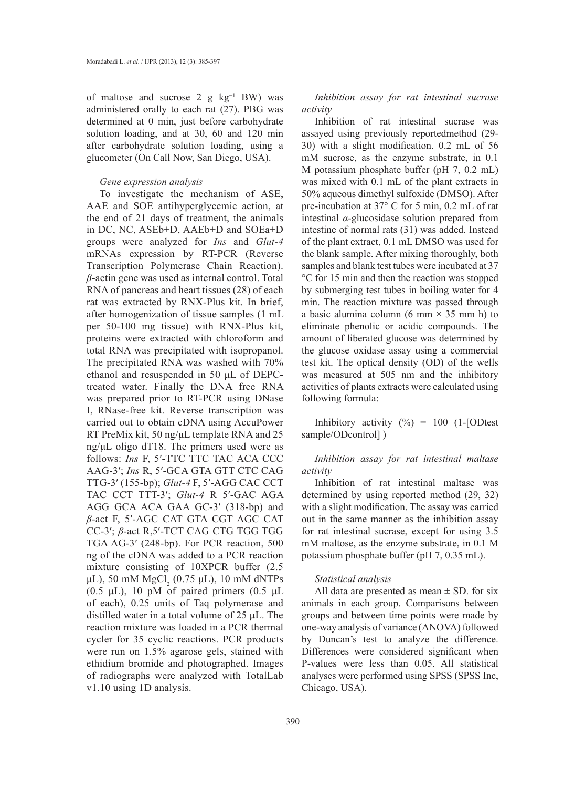of maltose and sucrose 2 g kg−1 BW) was administered orally to each rat (27). PBG was determined at 0 min, just before carbohydrate solution loading, and at 30, 60 and 120 min after carbohydrate solution loading, using a glucometer (On Call Now, San Diego, USA).

#### *Gene expression analysis*

To investigate the mechanism of ASE, AAE and SOE antihyperglycemic action, at the end of 21 days of treatment, the animals in DC, NC, ASEb+D, AAEb+D and SOEa+D groups were analyzed for *Ins* and *Glut-4* mRNAs expression by RT-PCR (Reverse Transcription Polymerase Chain Reaction). *β*-actin gene was used as internal control. Total RNA of pancreas and heart tissues (28) of each rat was extracted by RNX-Plus kit. In brief, after homogenization of tissue samples (1 mL per 50-100 mg tissue) with RNX-Plus kit, proteins were extracted with chloroform and total RNA was precipitated with isopropanol. The precipitated RNA was washed with 70% ethanol and resuspended in 50 μL of DEPCtreated water. Finally the DNA free RNA was prepared prior to RT-PCR using DNase I, RNase-free kit. Reverse transcription was carried out to obtain cDNA using AccuPower RT PreMix kit, 50 ng/μL template RNA and 25 ng/μL oligo dT18. The primers used were as follows: *Ins* F, 5'-TTC TTC TAC ACA CCC AAG-3′; *Ins* R, 5′-GCA GTA GTT CTC CAG TTG-3′ (155-bp); *Glut-4* F, 5′-AGG CAC CCT TAC CCT TTT-3′; *Glut-4* R 5′-GAC AGA AGG GCA ACA GAA GC-3′ (318-bp) and *β*-act F, 5′-AGC CAT GTA CGT AGC CAT CC-3′; *β*-act R,5′-TCT CAG CTG TGG TGG TGA AG-3′ (248-bp). For PCR reaction, 500 ng of the cDNA was added to a PCR reaction mixture consisting of 10XPCR buffer (2.5 μL), 50 mM  $MgCl_2$  (0.75 μL), 10 mM dNTPs (0.5  $\mu$ L), 10 pM of paired primers (0.5  $\mu$ L of each), 0.25 units of Taq polymerase and distilled water in a total volume of 25 μL. The reaction mixture was loaded in a PCR thermal cycler for 35 cyclic reactions. PCR products were run on 1.5% agarose gels, stained with ethidium bromide and photographed. Images of radiographs were analyzed with TotalLab v1.10 using 1D analysis.

*Inhibition assay for rat intestinal sucrase activity* 

Inhibition of rat intestinal sucrase was assayed using previously reportedmethod (29- 30) with a slight modification. 0.2 mL of 56 mM sucrose, as the enzyme substrate, in 0.1 M potassium phosphate buffer (pH 7, 0.2 mL) was mixed with 0.1 mL of the plant extracts in 50% aqueous dimethyl sulfoxide (DMSO). After pre-incubation at 37° C for 5 min, 0.2 mL of rat intestinal *α*-glucosidase solution prepared from intestine of normal rats (31) was added. Instead of the plant extract, 0.1 mL DMSO was used for the blank sample. After mixing thoroughly, both samples and blank test tubes were incubated at 37 °C for 15 min and then the reaction was stopped by submerging test tubes in boiling water for 4 min. The reaction mixture was passed through a basic alumina column (6 mm  $\times$  35 mm h) to eliminate phenolic or acidic compounds. The amount of liberated glucose was determined by the glucose oxidase assay using a commercial test kit. The optical density (OD) of the wells was measured at 505 nm and the inhibitory activities of plants extracts were calculated using following formula:

Inhibitory activity  $(\%) = 100$  (1-[ODtest] sample/ODcontrol] )

*Inhibition assay for rat intestinal maltase activity* 

Inhibition of rat intestinal maltase was determined by using reported method (29, 32) with a slight modification. The assay was carried out in the same manner as the inhibition assay for rat intestinal sucrase, except for using 3.5 mM maltose, as the enzyme substrate, in 0.1 M potassium phosphate buffer (pH 7, 0.35 mL).

#### *Statistical analysis*

All data are presented as mean  $\pm$  SD. for six animals in each group. Comparisons between groups and between time points were made by one-way analysis of variance (ANOVA) followed by Duncan's test to analyze the difference. Differences were considered significant when P-values were less than 0.05. All statistical analyses were performed using SPSS (SPSS Inc, Chicago, USA).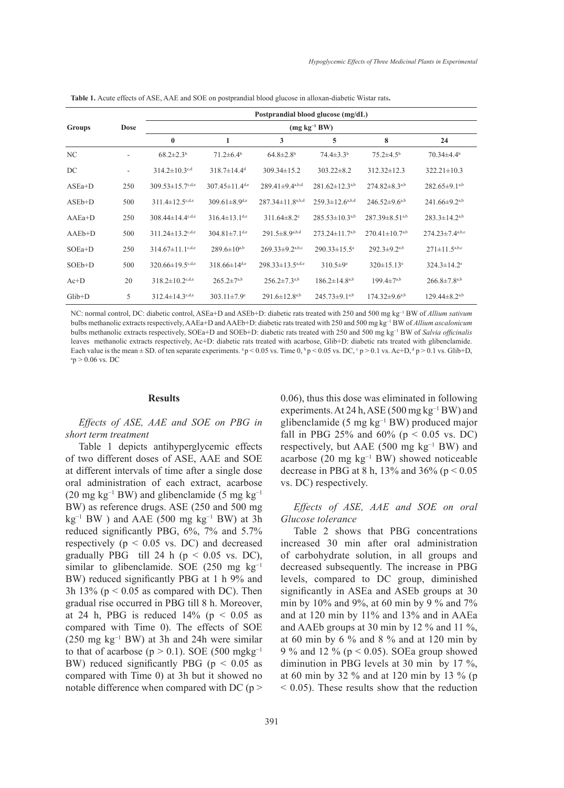|          | <b>Dose</b> | Postprandial blood glucose (mg/dL)<br>$(mg kg^{-1}BW)$ |                                  |                                   |                             |                                  |                                 |  |
|----------|-------------|--------------------------------------------------------|----------------------------------|-----------------------------------|-----------------------------|----------------------------------|---------------------------------|--|
| Groups   |             |                                                        |                                  |                                   |                             |                                  |                                 |  |
|          |             | $\bf{0}$                                               | 1                                | 3                                 | 5                           | 8                                | 24                              |  |
| NC       |             | $68.2 \pm 2.3$ <sup>b</sup>                            | $71.2 \pm 6.4$ <sup>b</sup>      | $64.8 \pm 2.8$ <sup>b</sup>       | $74.4 \pm 3.3$ <sup>b</sup> | $75.2 \pm 4.5^{\rm b}$           | $70.34 \pm 4.4$ <sup>b</sup>    |  |
| DC       | -           | $314.2 \pm 10.3$ <sup>c,d</sup>                        | $318.7 \pm 14.4$ <sup>d</sup>    | $309.34 \pm 15.2$                 | $303.22 \pm 8.2$            | $312.32 \pm 12.3$                | $322.21 \pm 10.3$               |  |
| $ASEa+D$ | 250         | $309.53 \pm 15.7$ <sup>c,d,e</sup>                     | 307.45 $\pm$ 11.4 <sup>d,e</sup> | $289.41 \pm 9.4$ <sup>a,b,d</sup> | $281.62 \pm 12.3^{a,b}$     | $274.82 \pm 8.3^{a,b}$           | $282.65 \pm 9.1^{a,b}$          |  |
| $ASEb+D$ | 500         | 311.4 $\pm$ 12.5 <sup>c,d,e</sup>                      | $309.61 \pm 8.9$ d,e             | $287.34 \pm 11.8^{a,b,d}$         | $259.3 \pm 12.6^{a,b,d}$    | $246.52 \pm 9.6^{a,b}$           | $241.66 \pm 9.2$ <sup>a,b</sup> |  |
| $AAEa+D$ | 250         | $308.44 \pm 14.4$ c, d,e                               | $316.4 \pm 13.1$ <sup>d,e</sup>  | $311.64 \pm 8.2$ <sup>e</sup>     | $285.53 \pm 10.3^{a,b}$     | $287.39 \pm 8.51$ <sup>a,b</sup> | $283.3 \pm 14.2^{a,b}$          |  |
| $AAEb+D$ | 500         | $311.24 \pm 13.2$ c,d,e                                | $304.81 \pm 7.1$ <sup>d,e</sup>  | $291.5 \pm 8.9^{a,b,d}$           | $273.24 \pm 11.7^{a,b}$     | $270.41 \pm 10.7^{a,b}$          | $274.23 \pm 7.4^{a,b,c}$        |  |
| $SOEa+D$ | 250         | $314.67 \pm 11.1$ <sup>c,d,e</sup>                     | $289.6 \pm 10^{a,b}$             | $269.33 \pm 9.2^{a,b,c}$          | $290.33 \pm 15.5^a$         | $292.3 \pm 9.2^{a,b}$            | $271 \pm 11.5^{a,b,c}$          |  |
| $SOEb+D$ | 500         | $320.66 \pm 19.5$ c,d,e                                | $318.66 \pm 14^{d,e}$            | $298.33 \pm 13.5^{a,d,e}$         | $310.5 \pm 9^e$             | $320 \pm 15.13$ <sup>e</sup>     | $324.3 \pm 14.2$ <sup>e</sup>   |  |
| $Ac+D$   | 20          | $318.2 \pm 10.2$ c,d,e                                 | $265.2 \pm 7^{a,b}$              | $256.2 \pm 7.3^{a,b}$             | $186.2 \pm 14.8^{a,b}$      | $199.4 \pm 7^{a,b}$              | $266.8 \pm 7.8^{a,b}$           |  |
| $Glib+D$ | 5           | $312.4 \pm 14.3$ c,d,e                                 | $303.11 \pm 7.9$ <sup>e</sup>    | $291.6 \pm 12.8^{a,b}$            | $245.73 \pm 9.1^{a,b}$      | $174.32 \pm 9.6^{a,b}$           | $129.44 \pm 8.2$ <sup>a,b</sup> |  |

**Table 1.** Acute effects of ASE, AAE and SOE on postprandial blood glucose in alloxan-diabetic Wistar rats**.**

NC: normal control, DC: diabetic control, ASEa+D and ASEb+D: diabetic rats treated with 250 and 500 mg kg−1 BW of *Allium sativum* bulbs methanolic extracts respectively, AAEa+D and AAEb+D: diabetic rats treated with 250 and 500 mg kg−1 BW of *Allium ascalonicum* bulbs methanolic extracts respectively, SOEa+D and SOEb+D: diabetic rats treated with 250 and 500 mg kg−1 BW of *Salvia officinalis* leaves methanolic extracts respectively, Ac+D: diabetic rats treated with acarbose, Glib+D: diabetic rats treated with glibenclamide. Each value is the mean  $\pm$  SD. of ten separate experiments.  $^{a}p$  < 0.05 vs. Time 0,  $^{b}p$  < 0.05 vs. DC,  $^{c}p$  > 0.1 vs. Ac+D,  $^{d}p$  > 0.1 vs. Glib+D,  $^{e}p$  > 0.1 vs. Glib+D,  $ep > 0.06$  vs. DC

#### **Results**

# *Effects of ASE, AAE and SOE on PBG in short term treatment*

Table 1 depicts antihyperglycemic effects of two different doses of ASE, AAE and SOE at different intervals of time after a single dose oral administration of each extract, acarbose (20 mg kg<sup>-1</sup> BW) and glibenclamide (5 mg kg<sup>-1</sup>) BW) as reference drugs. ASE (250 and 500 mg  $kg^{-1}$  BW ) and AAE (500 mg kg<sup>-1</sup> BW) at 3h reduced significantly PBG, 6%, 7% and 5.7% respectively ( $p < 0.05$  vs. DC) and decreased gradually PBG till 24 h ( $p < 0.05$  vs. DC), similar to glibenclamide. SOE (250 mg  $kg^{-1}$ ) BW) reduced significantly PBG at 1 h 9% and 3h 13% ( $p < 0.05$  as compared with DC). Then gradual rise occurred in PBG till 8 h. Moreover, at 24 h, PBG is reduced  $14\%$  (p < 0.05 as compared with Time 0). The effects of SOE  $(250 \text{ mg kg}^{-1} \text{BW})$  at 3h and 24h were similar to that of acarbose ( $p > 0.1$ ). SOE (500 mgkg<sup>-1</sup> BW) reduced significantly PBG ( $p < 0.05$  as compared with Time 0) at 3h but it showed no notable difference when compared with DC ( $p >$  0.06), thus this dose was eliminated in following experiments. At 24 h, ASE (500 mg kg−1 BW) and glibenclamide (5 mg kg−1 BW) produced major fall in PBG 25% and 60% ( $p < 0.05$  vs. DC) respectively, but AAE (500 mg kg<sup>-1</sup> BW) and acarbose (20 mg kg−1 BW) showed noticeable decrease in PBG at 8 h,  $13\%$  and  $36\%$  (p < 0.05 vs. DC) respectively.

# *Effects of ASE, AAE and SOE on oral Glucose tolerance*

Table 2 shows that PBG concentrations increased 30 min after oral administration of carbohydrate solution, in all groups and decreased subsequently. The increase in PBG levels, compared to DC group, diminished significantly in ASEa and ASEb groups at 30 min by 10% and 9%, at 60 min by 9 % and 7% and at 120 min by 11% and 13% and in AAEa and AAEb groups at 30 min by 12 % and 11 %, at 60 min by 6  $\%$  and 8  $\%$  and at 120 min by 9 % and 12 % ( $p < 0.05$ ). SOEa group showed diminution in PBG levels at 30 min by 17 %, at 60 min by 32 % and at 120 min by 13 % (p < 0.05). These results show that the reduction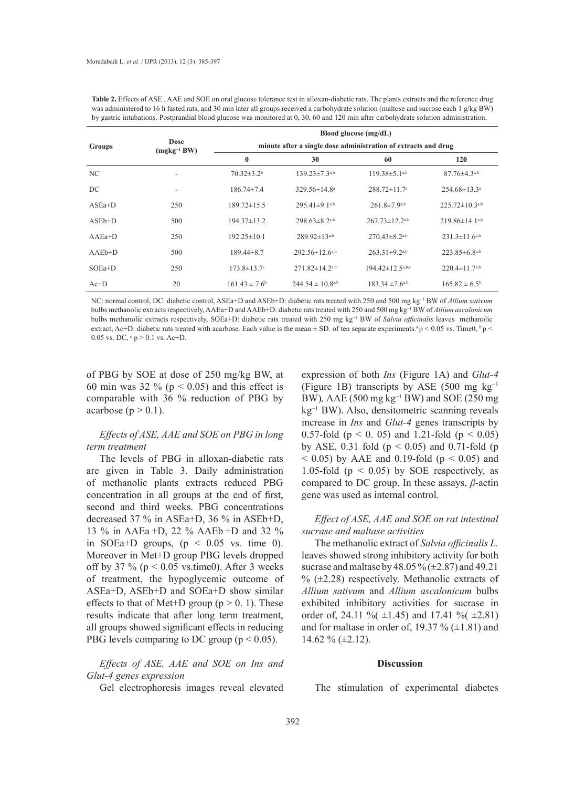|               |                                | Blood glucose (mg/dL)<br>minute after a single dose administration of extracts and drug |                          |                           |                           |  |  |
|---------------|--------------------------------|-----------------------------------------------------------------------------------------|--------------------------|---------------------------|---------------------------|--|--|
| <b>Groups</b> | <b>Dose</b><br>$(mgkg^{-1}BW)$ |                                                                                         |                          |                           |                           |  |  |
|               |                                | $\bf{0}$                                                                                | 30                       | 60                        | 120                       |  |  |
| NC            | ۰                              | $70.32 \pm 3.2^{\circ}$                                                                 | $139.23 \pm 7.3^{a,b}$   | $119.38 \pm 5.1^{a,b}$    | $87.76 \pm 4.3a$          |  |  |
| DC            | ۰                              | $186.74\pm7.4$                                                                          | 329.56±14.8 <sup>a</sup> | $288.72 \pm 11.7^{\circ}$ | $254.68 \pm 13.3^{\circ}$ |  |  |
| $ASEa+D$      | 250                            | $189.72 \pm 15.5$                                                                       | $295.41 \pm 9.1^{a,b}$   | $261.8 \pm 7.9^{a,b}$     | $225.72 \pm 10.3^{a,b}$   |  |  |
| $ASEb+D$      | 500                            | $194.37 \pm 13.2$                                                                       | $298.63 \pm 8.2^{a,b}$   | $267.73 \pm 12.2^{a,b}$   | $219.86 \pm 14.1^{a,b}$   |  |  |
| $AAEa+D$      | 250                            | $192.25 \pm 10.1$                                                                       | $289.92 \pm 13^{a,b}$    | $270.43 \pm 8.2^{a,b}$    | $231.3 \pm 11.6^{a,b}$    |  |  |
| $AAEb+D$      | 500                            | $189.44 \pm 8.7$                                                                        | $292.56 \pm 12.6^{a,b}$  | $263.31\pm9.2^{a,b}$      | $223.85\pm6.8^{a,b}$      |  |  |
| $SOEa+D$      | 250                            | $173.8 \pm 13.7$ °                                                                      | $271.82 \pm 14.2^{a,b}$  | $194.42 \pm 12.5^{a,b,c}$ | $220.4 \pm 11.7^{a,b}$    |  |  |
| $Ac+D$        | 20                             | $161.43 \pm 7.6^b$                                                                      | $244.54 \pm 10.8^{a,b}$  | $183.34 \pm 7.6^{a,b}$    | $165.82 \pm 6.5^b$        |  |  |

Table 2. Effects of ASE, AAE and SOE on oral glucose tolerance test in alloxan-diabetic rats. The plants extracts and the reference drug was administered to 16 h fasted rats, and 30 min later all groups received a carbohydrate solution (maltose and sucrose each 1 g/kg BW) by gastric intubations. Postprandial blood glucose was monitored at 0, 30, 60 and 120 min after carbohydrate solution administration.

NC: normal control, DC: diabetic control, ASEa+D and ASEb+D: diabetic rats treated with 250 and 500 mg kg−1 BW of *Allium sativum* bulbs methanolic extracts respectively, AAEa+D and AAEb+D: diabetic rats treated with 250 and 500 mg kg−1 BW of *Allium ascalonicum* bulbs methanolic extracts respectively, SOEa+D: diabetic rats treated with 250 mg kg−1 BW of *Salvia officinalis* leaves methanolic extract, Ac+D: diabetic rats treated with acarbose. Each value is the mean  $\pm$  SD. of ten separate experiments.<sup>a</sup> p < 0.05 vs. Time0, <sup>b</sup> p < 0.05 vs. DC,  $\degree$  p > 0.1 vs. Ac+D.

of PBG by SOE at dose of 250 mg/kg BW, at 60 min was 32 % ( $p < 0.05$ ) and this effect is comparable with 36 % reduction of PBG by acarbose ( $p > 0.1$ ).

# *Effects of ASE, AAE and SOE on PBG in long term treatment*

The levels of PBG in alloxan-diabetic rats are given in Table 3. Daily administration of methanolic plants extracts reduced PBG concentration in all groups at the end of first, second and third weeks. PBG concentrations decreased 37 % in ASEa+D, 36 % in ASEb+D, 13 % in AAEa +D, 22 % AAEb +D and 32 % in SOEa+D groups,  $(p < 0.05$  vs. time 0). Moreover in Met+D group PBG levels dropped off by 37 % ( $p < 0.05$  vs.time0). After 3 weeks of treatment, the hypoglycemic outcome of ASEa+D, ASEb+D and SOEa+D show similar effects to that of Met+D group ( $p > 0$ . 1). These results indicate that after long term treatment, all groups showed significant effects in reducing PBG levels comparing to DC group ( $p < 0.05$ ).

*Effects of ASE, AAE and SOE on Ins and Glut-4 genes expression*

Gel electrophoresis images reveal elevated

expression of both *Ins* (Figure 1A) and *Glut-4* (Figure 1B) transcripts by ASE (500 mg kg−1 BW)*,* AAE (500 mg kg−1 BW) and SOE (250 mg kg−1 BW). Also, densitometric scanning reveals increase in *Ins* and *Glut-4* genes transcripts by 0.57-fold ( $p < 0$ . 05) and 1.21-fold ( $p < 0.05$ ) by ASE, 0.31 fold ( $p < 0.05$ ) and 0.71-fold ( $p$  $(0.05)$  by AAE and 0.19-fold ( $p \le 0.05$ ) and 1.05-fold ( $p < 0.05$ ) by SOE respectively, as compared to DC group. In these assays, *β*-actin gene was used as internal control.

### *Effect of ASE, AAE and SOE on rat intestinal sucrase and maltase activities*

The methanolic extract of *Salvia officinalis L.*  leaves showed strong inhibitory activity for both sucrase and maltase by 48.05 % ( $\pm$ 2.87) and 49.21  $\%$  ( $\pm$ 2.28) respectively. Methanolic extracts of *Allium sativum* and *Allium ascalonicum* bulbs exhibited inhibitory activities for sucrase in order of, 24.11 %  $(\pm 1.45)$  and 17.41 %  $(\pm 2.81)$ and for maltase in order of, 19.37 %  $(\pm 1.81)$  and 14.62 % (±2.12).

#### **Discussion**

The stimulation of experimental diabetes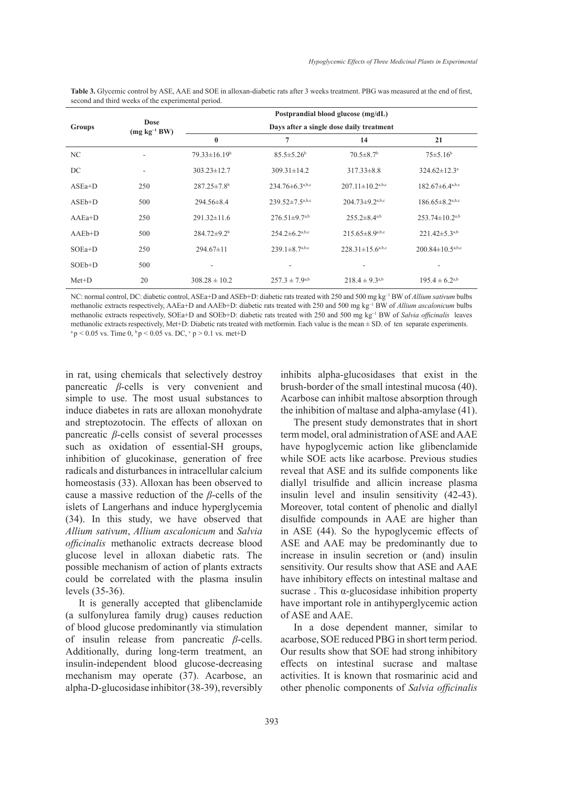| Groups   |                                 |                                          |                              | Postprandial blood glucose (mg/dL) |                                 |  |  |
|----------|---------------------------------|------------------------------------------|------------------------------|------------------------------------|---------------------------------|--|--|
|          | <b>Dose</b><br>$(mg kg^{-1}BW)$ | Days after a single dose daily treatment |                              |                                    |                                 |  |  |
|          |                                 | $\bf{0}$                                 | 7                            | 14                                 | 21                              |  |  |
| NC       |                                 | $79.33 \pm 16.19^b$                      | $85.5 \pm 5.26$ <sup>b</sup> | $70.5 \pm 8.7$ <sup>b</sup>        | $75 \pm 5.16^b$                 |  |  |
| DC       | -                               | $303.23 \pm 12.7$                        | $309.31 \pm 14.2$            | $317.33 \pm 8.8$                   | $324.62 \pm 12.3^a$             |  |  |
| $ASEa+D$ | 250                             | $287.25 \pm 7.8$ <sup>b</sup>            | $234.76\pm6.3^{a,b,c}$       | $207.11 \pm 10.2^{a,b,c}$          | $182.67 \pm 6.4^{\text{a,b,c}}$ |  |  |
| $ASEb+D$ | 500                             | $294.56\pm8.4$                           | $239.52 \pm 7.5^{a,b,c}$     | $204.73 \pm 9.2$ <sup>a,b,c</sup>  | $186.65 \pm 8.2^{a,b,c}$        |  |  |
| $AAEa+D$ | 250                             | $291.32\pm11.6$                          | $276.51 \pm 9.7^{a,b}$       | $255.2\pm8.4^{a,b}$                | $253.74 \pm 10.2^{a,b}$         |  |  |
| $AAEb+D$ | 500                             | $284.72 \pm 9.2^b$                       | $254.2 \pm 6.2^{a,b,c}$      | $215.65\pm8.9^{a,b,c}$             | $221.42 \pm 5.3^{a,b}$          |  |  |

**Table 3.** Glycemic control by ASE, AAE and SOE in alloxan-diabetic rats after 3 weeks treatment. PBG was measured at the end of first, second and third weeks of the experimental period.

NC: normal control, DC: diabetic control, ASEa+D and ASEb+D: diabetic rats treated with 250 and 500 mg kg−1 BW of *Allium sativum* bulbs methanolic extracts respectively, AAEa+D and AAEb+D: diabetic rats treated with 250 and 500 mg kg−1 BW of *Allium ascalonicum* bulbs methanolic extracts respectively, SOEa+D and SOEb+D: diabetic rats treated with 250 and 500 mg kg−1 BW of *Salvia officinalis* leaves methanolic extracts respectively, Met+D: Diabetic rats treated with metformin. Each value is the mean ± SD. of ten separate experiments.  $a p < 0.05$  vs. Time 0,  $b p < 0.05$  vs. DC,  $c p > 0.1$  vs. met+D

 $SOEa+D$  250 294.67±11 239.1±8.7<sup>a,b,c</sup> 228.31±15.6<sup>a,b,c</sup> 200.84±10.5<sup>a,b,c</sup>

SOEb+D 500 - - - - Met+D 20  $308.28 \pm 10.2$   $257.3 \pm 7.9^{a,b}$   $218.4 \pm 9.3^{a,b}$   $195.4 \pm 6.2^{a,b}$ 

in rat, using chemicals that selectively destroy pancreatic *β*-cells is very convenient and simple to use. The most usual substances to induce diabetes in rats are alloxan monohydrate and streptozotocin. The effects of alloxan on pancreatic *β*-cells consist of several processes such as oxidation of essential-SH groups, inhibition of glucokinase, generation of free radicals and disturbances in intracellular calcium homeostasis (33). Alloxan has been observed to cause a massive reduction of the *β*-cells of the islets of Langerhans and induce hyperglycemia (34). In this study, we have observed that *Allium sativum*, *Allium ascalonicum* and *Salvia officinalis* methanolic extracts decrease blood glucose level in alloxan diabetic rats. The possible mechanism of action of plants extracts could be correlated with the plasma insulin levels (35-36).

It is generally accepted that glibenclamide (a sulfonylurea family drug) causes reduction of blood glucose predominantly via stimulation of insulin release from pancreatic *β*-cells. Additionally, during long-term treatment, an insulin-independent blood glucose-decreasing mechanism may operate (37). Acarbose, an alpha-D-glucosidase inhibitor (38-39), reversibly inhibits alpha-glucosidases that exist in the brush-border of the small intestinal mucosa (40). Acarbose can inhibit maltose absorption through the inhibition of maltase and alpha-amylase (41).

The present study demonstrates that in short term model, oral administration of ASE and AAE have hypoglycemic action like glibenclamide while SOE acts like acarbose. Previous studies reveal that ASE and its sulfide components like diallyl trisulfide and allicin increase plasma insulin level and insulin sensitivity (42-43). Moreover, total content of phenolic and diallyl disulfide compounds in AAE are higher than in ASE (44). So the hypoglycemic effects of ASE and AAE may be predominantly due to increase in insulin secretion or (and) insulin sensitivity. Our results show that ASE and AAE have inhibitory effects on intestinal maltase and sucrase . This α-glucosidase inhibition property have important role in antihyperglycemic action of ASE and AAE.

In a dose dependent manner, similar to acarbose, SOE reduced PBG in short term period. Our results show that SOE had strong inhibitory effects on intestinal sucrase and maltase activities. It is known that rosmarinic acid and other phenolic components of *Salvia officinalis*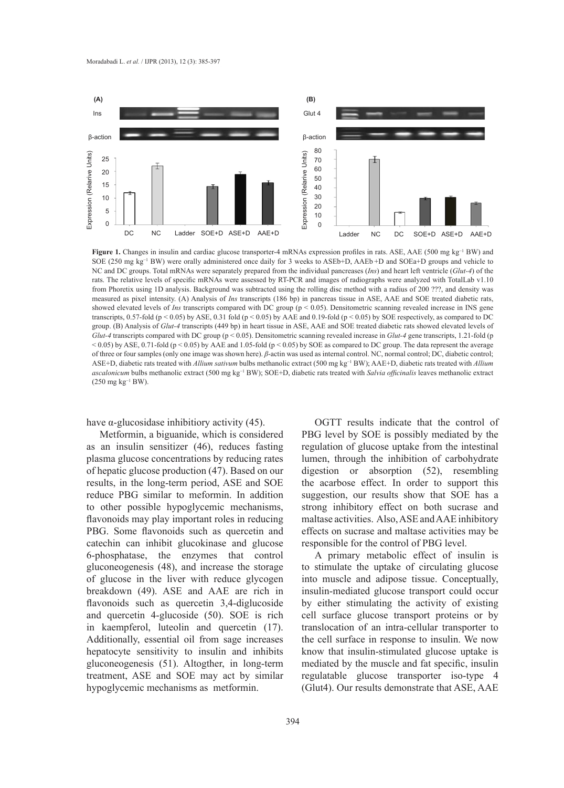

**Figure 1.** Changes in insulin and cardiac glucose transporter-4 mRNAs expression profiles in rats. ASE, AAE (500 mg kg−1 BW) and SOE (250 mg kg−1 BW) were orally administered once daily for 3 weeks to ASEb+D, AAEb +D and SOEa+D groups and vehicle to NC and DC groups. Total mRNAs were separately prepared from the individual pancreases (*Ins*) and heart left ventricle (*Glut-4*) of the rats. The relative levels of specific mRNAs were assessed by RT-PCR and images of radiographs were analyzed with TotalLab v1.10 from Phoretix using 1D analysis. Background was subtracted using the rolling disc method with a radius of 200 ???, and density was measured as pixel intensity. (A) Analysis of *Ins* transcripts (186 bp) in pancreas tissue in ASE, AAE and SOE treated diabetic rats, showed elevated levels of *Ins* transcripts compared with DC group (p < 0.05). Densitometric scanning revealed increase in INS gene transcripts,  $0.57$ -fold (p < 0.05) by ASE,  $0.31$  fold (p < 0.05) by AAE and 0.19-fold (p < 0.05) by SOE respectively, as compared to DC group. (B) Analysis of *Glut-4* transcripts (449 bp) in heart tissue in ASE, AAE and SOE treated diabetic rats showed elevated levels of *Glut-4* transcripts compared with DC group (p < 0.05). Densitometric scanning revealed increase in *Glut-4* gene transcripts, 1.21-fold (p  $<$  0.05) by ASE, 0.71-fold (p  $<$  0.05) by AAE and 1.05-fold (p  $<$  0.05) by SOE as compared to DC group. The data represent the average of three or four samples (only one image was shown here). *β*-actin was used as internal control. NC, normal control; DC, diabetic control; ASE+D, diabetic rats treated with *Allium sativum* bulbs methanolic extract (500 mg kg−1 BW); AAE+D, diabetic rats treated with *Allium ascalonicum* bulbs methanolic extract (500 mg kg−1 BW); SOE+D, diabetic rats treated with *Salvia officinalis* leaves methanolic extract (250 mg $\rm kg^{-1}$  BW).

have  $\alpha$ -glucosidase inhibitiory activity (45).

Metformin, a biguanide, which is considered as an insulin sensitizer (46), reduces fasting plasma glucose concentrations by reducing rates of hepatic glucose production (47). Based on our results, in the long-term period, ASE and SOE reduce PBG similar to meformin. In addition to other possible hypoglycemic mechanisms, flavonoids may play important roles in reducing PBG. Some flavonoids such as quercetin and catechin can inhibit glucokinase and glucose 6-phosphatase, the enzymes that control gluconeogenesis (48), and increase the storage of glucose in the liver with reduce glycogen breakdown (49). ASE and AAE are rich in flavonoids such as quercetin 3,4-diglucoside and quercetin 4-glucoside (50). SOE is rich in kaempferol, luteolin and quercetin (17). Additionally, essential oil from sage increases hepatocyte sensitivity to insulin and inhibits gluconeogenesis (51). Altogther, in long-term treatment, ASE and SOE may act by similar hypoglycemic mechanisms as metformin.

OGTT results indicate that the control of PBG level by SOE is possibly mediated by the regulation of glucose uptake from the intestinal lumen, through the inhibition of carbohydrate digestion or absorption (52), resembling the acarbose effect. In order to support this suggestion, our results show that SOE has a strong inhibitory effect on both sucrase and maltase activities. Also, ASE and AAE inhibitory effects on sucrase and maltase activities may be responsible for the control of PBG level.

A primary metabolic effect of insulin is to stimulate the uptake of circulating glucose into muscle and adipose tissue. Conceptually, insulin-mediated glucose transport could occur by either stimulating the activity of existing cell surface glucose transport proteins or by translocation of an intra-cellular transporter to the cell surface in response to insulin. We now know that insulin-stimulated glucose uptake is mediated by the muscle and fat specific, insulin regulatable glucose transporter iso-type 4 (Glut4). Our results demonstrate that ASE, AAE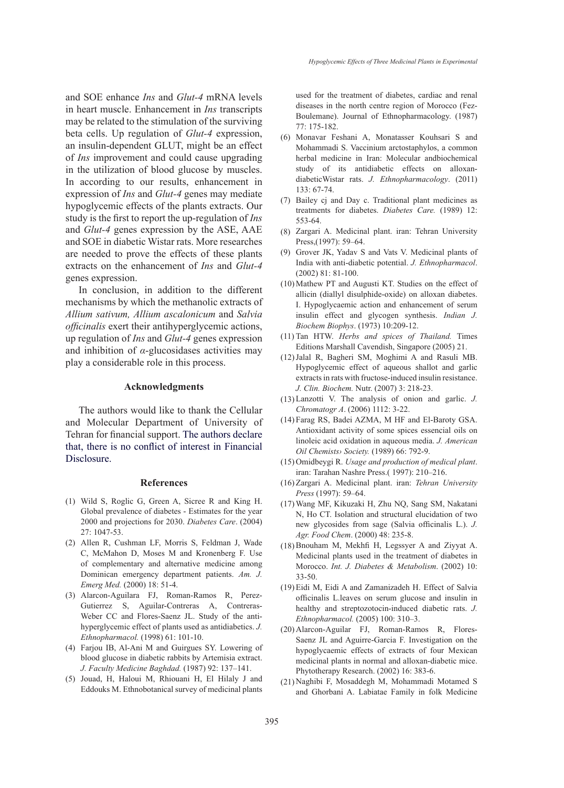and SOE enhance *Ins* and *Glut-4* mRNA levels in heart muscle. Enhancement in *Ins* transcripts may be related to the stimulation of the surviving beta cells. Up regulation of *Glut-4* expression, an insulin-dependent GLUT, might be an effect of *Ins* improvement and could cause upgrading in the utilization of blood glucose by muscles. In according to our results, enhancement in expression of *Ins* and *Glut-4* genes may mediate hypoglycemic effects of the plants extracts. Our study is the first to report the up-regulation of *Ins* and *Glut-4* genes expression by the ASE, AAE and SOE in diabetic Wistar rats. More researches are needed to prove the effects of these plants extracts on the enhancement of *Ins* and *Glut-4* genes expression.

In conclusion, in addition to the different mechanisms by which the methanolic extracts of *Allium sativum, Allium ascalonicum* and *Salvia officinalis* exert their antihyperglycemic actions, up regulation of *Ins* and *Glut-4* genes expression and inhibition of *α*-glucosidases activities may play a considerable role in this process.

#### **Acknowledgments**

The authors would like to thank the Cellular and Molecular Department of University of Tehran for financial support. The authors declare that, there is no conflict of interest in Financial Disclosure.

#### **References**

- Wild S, Roglic G, Green A, Sicree R and King H. (1) Global prevalence of diabetes - Estimates for the year 2000 and projections for 2030. *Diabetes Care*. (2004) 27: 1047-53.
- (2) Allen R, Cushman LF, Morris S, Feldman J, Wade C, McMahon D, Moses M and Kronenberg F. Use of complementary and alternative medicine among Dominican emergency department patients. *Am. J. Emerg Med.* (2000) 18: 51-4.
- Alarcon-Aguilara FJ, Roman-Ramos R, Perez-(3) Gutierrez S, Aguilar-Contreras A, Contreras-Weber CC and Flores-Saenz JL. Study of the antihyperglycemic effect of plants used as antidiabetics. *J. Ethnopharmacol.* (1998) 61: 101-10.
- Farjou IB, Al-Ani M and Guirgues SY. Lowering of (4) blood glucose in diabetic rabbits by Artemisia extract. *J. Faculty Medicine Baghdad.* (1987) 92: 137–141.
- (5) Jouad, H, Haloui M, Rhiouani H, El Hilaly J and Eddouks M. Ethnobotanical survey of medicinal plants

used for the treatment of diabetes, cardiac and renal diseases in the north centre region of Morocco (Fez-Boulemane). Journal of Ethnopharmacology. (1987) 77: 175-182.

- Monavar Feshani A, Monatasser Kouhsari S and (6) Mohammadi S. Vaccinium arctostaphylos, a common herbal medicine in Iran: Molecular andbiochemical study of its antidiabetic effects on alloxandiabeticWistar rats. *J. Ethnopharmacology*. (2011) 133: 67-74.
- Bailey cj and Day c. Traditional plant medicines as (7) treatments for diabetes. *Diabetes Care.* (1989) 12: 553-64.
- Zargari A. Medicinal plant. iran: Tehran University (8) Press,(1997): 59–64.
- Grover JK, Yadav S and Vats V. Medicinal plants of India with anti-diabetic potential. *J. Ethnopharmacol*. (2002) 81: 81-100. (9)
- $(10)$  Mathew PT and Augusti KT. Studies on the effect of allicin (diallyl disulphide-oxide) on alloxan diabetes. I. Hypoglycaemic action and enhancement of serum insulin effect and glycogen synthesis. *Indian J. Biochem Biophys*. (1973) 10:209-12.
- (11) Tan HTW. Herbs and spices of Thailand. Times Editions Marshall Cavendish, Singapore (2005) 21.
- (12) Jalal R, Bagheri SM, Moghimi A and Rasuli MB. Hypoglycemic effect of aqueous shallot and garlic extracts in rats with fructose-induced insulin resistance. *J. Clin. Biochem.* Nutr. (2007) 3: 218-23.
- Lanzotti V. The analysis of onion and garlic. *J.*  (13) *Chromatogr A*. (2006) 1112: 3-22.
- Farag RS, Badei AZMA, M HF and El-Baroty GSA. (14) Antioxidant activity of some spices essencial oils on linoleic acid oxidation in aqueous media. *J. American Oil Chemists› Society.* (1989) 66: 792-9.
- (15) Omidbeygi R. *Usage and production of medical plant*. iran: Tarahan Nashre Press.( 1997): 210–216.
- Zargari A. Medicinal plant. iran: *Tehran University*  (16) *Press* (1997): 59–64.
- Wang MF, Kikuzaki H, Zhu NQ, Sang SM, Nakatani (17) N, Ho CT. Isolation and structural elucidation of two new glycosides from sage (Salvia officinalis L.). *J. Agr. Food Chem*. (2000) 48: 235-8.
- $(18)$  Bnouham M, Mekhfi H, Legssyer A and Ziyyat A. Medicinal plants used in the treatment of diabetes in Morocco. *Int. J. Diabetes & Metabolism*. (2002) 10: 33-50.
- (19) Eidi M, Eidi A and Zamanizadeh H. Effect of Salvia officinalis L.leaves on serum glucose and insulin in healthy and streptozotocin-induced diabetic rats. *J. Ethnopharmacol.* (2005) 100: 310–3.
- (20) Alarcon-Aguilar FJ, Roman-Ramos R, Flores-Saenz JL and Aguirre-Garcia F. Investigation on the hypoglycaemic effects of extracts of four Mexican medicinal plants in normal and alloxan-diabetic mice. Phytotherapy Research. (2002) 16: 383-6.
- (21) Naghibi F, Mosaddegh M, Mohammadi Motamed S and Ghorbani A. Labiatae Family in folk Medicine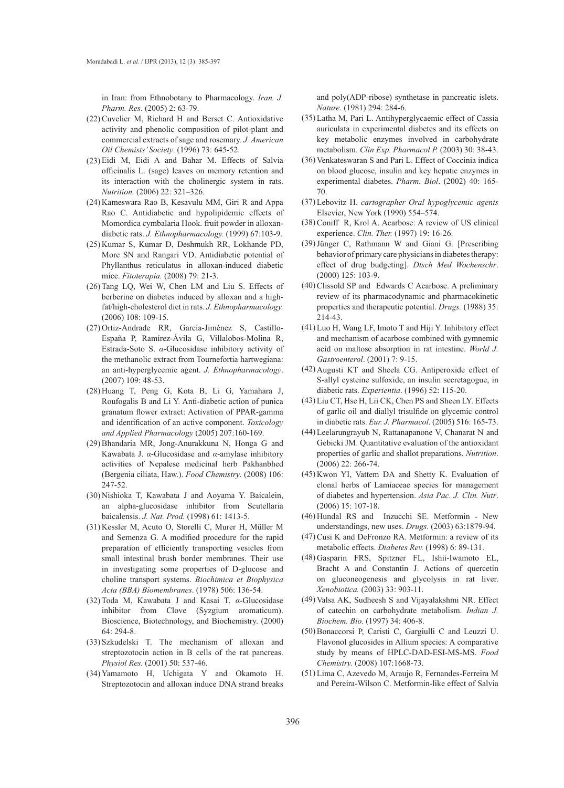in Iran: from Ethnobotany to Pharmacology. *Iran. J. Pharm. Res*. (2005) 2: 63-79.

- $(22)$  Cuvelier M, Richard H and Berset C. Antioxidative activity and phenolic composition of pilot-plant and commercial extracts of sage and rosemary. *J. American Oil Chemists' Society*. (1996) 73: 645-52.
- (23) Eidi M, Eidi A and Bahar M. Effects of Salvia officinalis L. (sage) leaves on memory retention and its interaction with the cholinergic system in rats. *Nutrition.* (2006) 22: 321–326.
- (24) Kameswara Rao B, Kesavulu MM, Giri R and Appa Rao C. Antidiabetic and hypolipidemic effects of Momordica cymbalaria Hook. fruit powder in alloxandiabetic rats. *J. Ethnopharmacology.* (1999) 67:103-9.
- (25) Kumar S, Kumar D, Deshmukh RR, Lokhande PD, More SN and Rangari VD. Antidiabetic potential of Phyllanthus reticulatus in alloxan-induced diabetic mice. *Fitoterapia.* (2008) 79: 21-3.
- (26) Tang LQ, Wei W, Chen LM and Liu S. Effects of berberine on diabetes induced by alloxan and a highfat/high-cholesterol diet in rats. *J. Ethnopharmacology.* (2006) 108: 109-15.
- (27) Ortiz-Andrade RR, García-Jiménez S, Castillo-España P, Ramírez-Ávila G, Villalobos-Molina R, Estrada-Soto S. *α*-Glucosidase inhibitory activity of the methanolic extract from Tournefortia hartwegiana: an anti-hyperglycemic agent. *J. Ethnopharmacology*. (2007) 109: 48-53.
- Huang T, Peng G, Kota B, Li G, Yamahara J, (28) Roufogalis B and Li Y. Anti-diabetic action of punica granatum flower extract: Activation of PPAR-gamma and identification of an active component. *Toxicology and Applied Pharmacology* (2005) 207:160-169.
- (29) Bhandaria MR, Jong-Anurakkuna N, Honga G and Kawabata J. *α*-Glucosidase and *α*-amylase inhibitory activities of Nepalese medicinal herb Pakhanbhed (Bergenia ciliata, Haw.). *Food Chemistry*. (2008) 106: 247-52.
- (30) Nishioka T, Kawabata J and Aoyama Y. Baicalein, an alpha-glucosidase inhibitor from Scutellaria baicalensis. *J. Nat. Prod.* (1998) 61: 1413-5.
- (31) Kessler M, Acuto O, Storelli C, Murer H, Müller M and Semenza G. A modified procedure for the rapid preparation of efficiently transporting vesicles from small intestinal brush border membranes. Their use in investigating some properties of D-glucose and choline transport systems. *Biochimica et Biophysica Acta (BBA) Biomembranes*. (1978) 506: 136-54.
- (32) Toda M, Kawabata J and Kasai T. *α*-Glucosidase inhibitor from Clove (Syzgium aromaticum). Bioscience, Biotechnology, and Biochemistry. (2000) 64: 294-8.
- (33) Szkudelski T. The mechanism of alloxan and streptozotocin action in B cells of the rat pancreas. *Physiol Res.* (2001) 50: 537-46.
- (34) Yamamoto H, Uchigata Y and Okamoto H. Streptozotocin and alloxan induce DNA strand breaks

and poly(ADP-ribose) synthetase in pancreatic islets. *Nature*. (1981) 294: 284-6.

- Latha M, Pari L. Antihyperglycaemic effect of Cassia (35) auriculata in experimental diabetes and its effects on key metabolic enzymes involved in carbohydrate metabolism. *Clin Exp. Pharmacol P.* (2003) 30: 38-43.
- (36) Venkateswaran S and Pari L. Effect of Coccinia indica on blood glucose, insulin and key hepatic enzymes in experimental diabetes. *Pharm. Biol*. (2002) 40: 165- 70.
- Lebovitz H. *cartographer Oral hypoglycemic agents* (37) Elsevier, New York (1990) 554–574.
- (38) Coniff R, Krol A. Acarbose: A review of US clinical experience. *Clin. Ther.* (1997) 19: 16-26.
- (39) Jünger C, Rathmann W and Giani G. [Prescribing behavior of primary care physicians in diabetes therapy: effect of drug budgeting]. *Dtsch Med Wochenschr*. (2000) 125: 103-9.
- $(40)$  Clissold SP and Edwards C Acarbose. A preliminary review of its pharmacodynamic and pharmacokinetic properties and therapeutic potential. *Drugs.* (1988) 35: 214-43.
- $(41)$  Luo H, Wang LF, Imoto T and Hiji Y. Inhibitory effect and mechanism of acarbose combined with gymnemic acid on maltose absorption in rat intestine. *World J. Gastroenterol*. (2001) 7: 9-15.
- (42) Augusti KT and Sheela CG. Antiperoxide effect of S-allyl cysteine sulfoxide, an insulin secretagogue, in diabetic rats. *Experientia*. (1996) 52: 115-20.
- (43) Liu CT, Hse H, Lii CK, Chen PS and Sheen LY. Effects of garlic oil and diallyl trisulfide on glycemic control in diabetic rats. *Eur. J. Pharmacol*. (2005) 516: 165-73.
- Leelarungrayub N, Rattanapanone V, Chanarat N and (44) Gebicki JM. Quantitative evaluation of the antioxidant properties of garlic and shallot preparations. *Nutrition*. (2006) 22: 266-74.
- $(45)$  Kwon YI, Vattem DA and Shetty K. Evaluation of clonal herbs of Lamiaceae species for management of diabetes and hypertension. *Asia Pac. J. Clin. Nutr*. (2006) 15: 107-18.
- $(46)$  Hundal RS and Inzucchi SE. Metformin New understandings, new uses. *Drugs.* (2003) 63:1879-94.
- (47) Cusi K and DeFronzo RA. Metformin: a review of its metabolic effects. *Diabetes Rev.* (1998) 6: 89-131.
- (48) Gasparin FRS, Spitzner FL, Ishii-Iwamoto EL, Bracht A and Constantin J. Actions of quercetin on gluconeogenesis and glycolysis in rat liver. *Xenobiotica.* (2003) 33: 903-11.
- (49) Valsa AK, Sudheesh S and Vijayalakshmi NR. Effect of catechin on carbohydrate metabolism. *Indian J. Biochem. Bio.* (1997) 34: 406-8.
- Bonaccorsi P, Caristi C, Gargiulli C and Leuzzi U. (50) Flavonol glucosides in Allium species: A comparative study by means of HPLC-DAD-ESI-MS-MS. *Food Chemistry.* (2008) 107:1668-73.
- (51) Lima C, Azevedo M, Araujo R, Fernandes-Ferreira M and Pereira-Wilson C. Metformin-like effect of Salvia